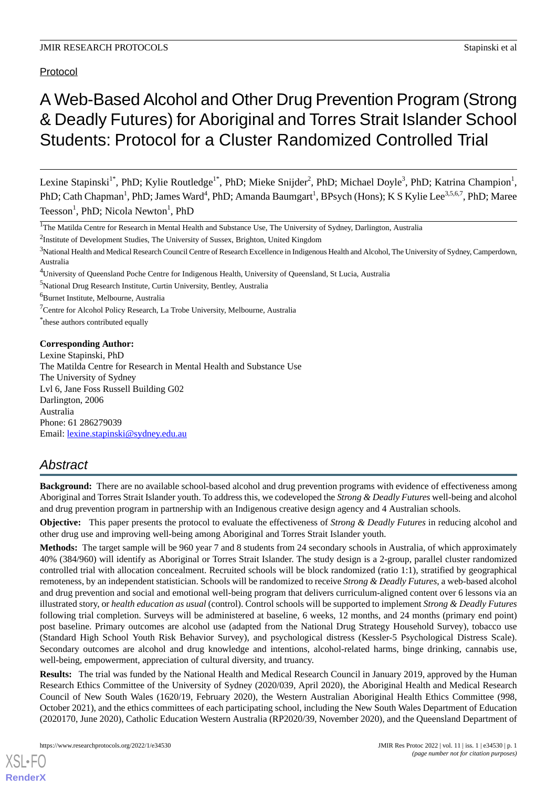Protocol

# A Web-Based Alcohol and Other Drug Prevention Program (Strong & Deadly Futures) for Aboriginal and Torres Strait Islander School Students: Protocol for a Cluster Randomized Controlled Trial

Lexine Stapinski<sup>1\*</sup>, PhD; Kylie Routledge<sup>1\*</sup>, PhD; Mieke Snijder<sup>2</sup>, PhD; Michael Doyle<sup>3</sup>, PhD; Katrina Champion<sup>1</sup>, PhD; Cath Chapman<sup>1</sup>, PhD; James Ward<sup>4</sup>, PhD; Amanda Baumgart<sup>1</sup>, BPsych (Hons); K S Kylie Lee<sup>3,5,6,7</sup>, PhD; Maree Teesson<sup>1</sup>, PhD; Nicola Newton<sup>1</sup>, PhD

<sup>2</sup>Institute of Development Studies, The University of Sussex, Brighton, United Kingdom

<sup>3</sup>National Health and Medical Research Council Centre of Research Excellence in Indigenous Health and Alcohol, The University of Sydney, Camperdown, Australia

<sup>4</sup>University of Queensland Poche Centre for Indigenous Health, University of Queensland, St Lucia, Australia

<sup>5</sup>National Drug Research Institute, Curtin University, Bentley, Australia

<sup>6</sup>Burnet Institute, Melbourne, Australia

 $7$ Centre for Alcohol Policy Research, La Trobe University, Melbourne, Australia

\* these authors contributed equally

### **Corresponding Author:**

Lexine Stapinski, PhD The Matilda Centre for Research in Mental Health and Substance Use The University of Sydney Lvl 6, Jane Foss Russell Building G02 Darlington, 2006 Australia Phone: 61 286279039 Email: [lexine.stapinski@sydney.edu.au](mailto:lexine.stapinski@sydney.edu.au)

## *Abstract*

**Background:** There are no available school-based alcohol and drug prevention programs with evidence of effectiveness among Aboriginal and Torres Strait Islander youth. To address this, we codeveloped the *Strong & Deadly Futures* well-being and alcohol and drug prevention program in partnership with an Indigenous creative design agency and 4 Australian schools.

**Objective:** This paper presents the protocol to evaluate the effectiveness of *Strong & Deadly Futures* in reducing alcohol and other drug use and improving well-being among Aboriginal and Torres Strait Islander youth.

**Methods:** The target sample will be 960 year 7 and 8 students from 24 secondary schools in Australia, of which approximately 40% (384/960) will identify as Aboriginal or Torres Strait Islander. The study design is a 2-group, parallel cluster randomized controlled trial with allocation concealment. Recruited schools will be block randomized (ratio 1:1), stratified by geographical remoteness, by an independent statistician. Schools will be randomized to receive *Strong & Deadly Futures*, a web-based alcohol and drug prevention and social and emotional well-being program that delivers curriculum-aligned content over 6 lessons via an illustrated story, or *health education as usual* (control). Control schools will be supported to implement *Strong & Deadly Futures* following trial completion. Surveys will be administered at baseline, 6 weeks, 12 months, and 24 months (primary end point) post baseline. Primary outcomes are alcohol use (adapted from the National Drug Strategy Household Survey), tobacco use (Standard High School Youth Risk Behavior Survey), and psychological distress (Kessler-5 Psychological Distress Scale). Secondary outcomes are alcohol and drug knowledge and intentions, alcohol-related harms, binge drinking, cannabis use, well-being, empowerment, appreciation of cultural diversity, and truancy.

**Results:** The trial was funded by the National Health and Medical Research Council in January 2019, approved by the Human Research Ethics Committee of the University of Sydney (2020/039, April 2020), the Aboriginal Health and Medical Research Council of New South Wales (1620/19, February 2020), the Western Australian Aboriginal Health Ethics Committee (998, October 2021), and the ethics committees of each participating school, including the New South Wales Department of Education (2020170, June 2020), Catholic Education Western Australia (RP2020/39, November 2020), and the Queensland Department of

<sup>&</sup>lt;sup>1</sup>The Matilda Centre for Research in Mental Health and Substance Use, The University of Sydney, Darlington, Australia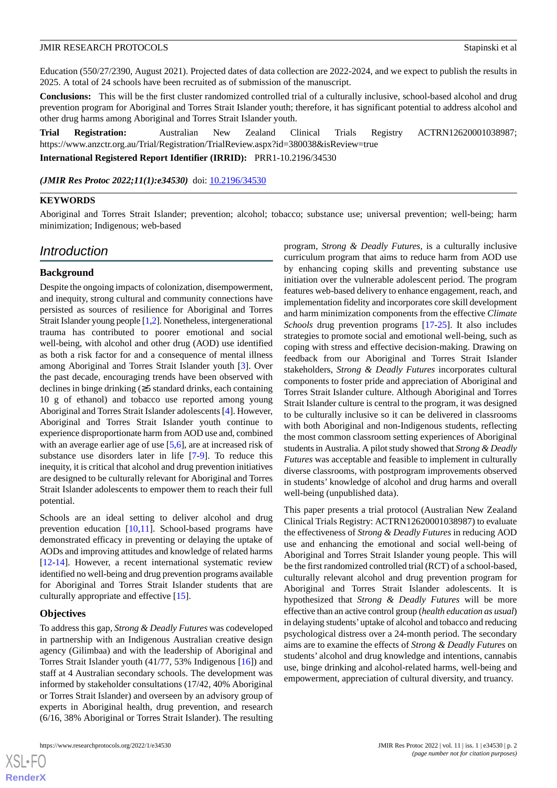Education (550/27/2390, August 2021). Projected dates of data collection are 2022-2024, and we expect to publish the results in 2025. A total of 24 schools have been recruited as of submission of the manuscript.

**Conclusions:** This will be the first cluster randomized controlled trial of a culturally inclusive, school-based alcohol and drug prevention program for Aboriginal and Torres Strait Islander youth; therefore, it has significant potential to address alcohol and other drug harms among Aboriginal and Torres Strait Islander youth.

**Trial Registration:** Australian New Zealand Clinical Trials Registry ACTRN12620001038987; https://www.anzctr.org.au/Trial/Registration/TrialReview.aspx?id=380038&isReview=true

**International Registered Report Identifier (IRRID):** PRR1-10.2196/34530

(JMIR Res Protoc 2022;11(1):e34530) doi: [10.2196/34530](http://dx.doi.org/10.2196/34530)

#### **KEYWORDS**

Aboriginal and Torres Strait Islander; prevention; alcohol; tobacco; substance use; universal prevention; well-being; harm minimization; Indigenous; web-based

## *Introduction*

#### **Background**

Despite the ongoing impacts of colonization, disempowerment, and inequity, strong cultural and community connections have persisted as sources of resilience for Aboriginal and Torres Strait Islander young people [\[1](#page-9-0)[,2](#page-9-1)]. Nonetheless, intergenerational trauma has contributed to poorer emotional and social well-being, with alcohol and other drug (AOD) use identified as both a risk factor for and a consequence of mental illness among Aboriginal and Torres Strait Islander youth [\[3](#page-9-2)]. Over the past decade, encouraging trends have been observed with declines in binge drinking (≥5 standard drinks, each containing 10 g of ethanol) and tobacco use reported among young Aboriginal and Torres Strait Islander adolescents [[4\]](#page-9-3). However, Aboriginal and Torres Strait Islander youth continue to experience disproportionate harm from AOD use and, combined with an average earlier age of use [\[5](#page-9-4),[6\]](#page-9-5), are at increased risk of substance use disorders later in life [\[7](#page-9-6)-[9\]](#page-9-7). To reduce this inequity, it is critical that alcohol and drug prevention initiatives are designed to be culturally relevant for Aboriginal and Torres Strait Islander adolescents to empower them to reach their full potential.

Schools are an ideal setting to deliver alcohol and drug prevention education [[10,](#page-9-8)[11](#page-10-0)]. School-based programs have demonstrated efficacy in preventing or delaying the uptake of AODs and improving attitudes and knowledge of related harms [[12](#page-10-1)[-14](#page-10-2)]. However, a recent international systematic review identified no well-being and drug prevention programs available for Aboriginal and Torres Strait Islander students that are culturally appropriate and effective [\[15](#page-10-3)].

#### **Objectives**

[XSL](http://www.w3.org/Style/XSL)•FO **[RenderX](http://www.renderx.com/)**

To address this gap, *Strong & Deadly Futures* was codeveloped in partnership with an Indigenous Australian creative design agency (Gilimbaa) and with the leadership of Aboriginal and Torres Strait Islander youth (41/77, 53% Indigenous [[16\]](#page-10-4)) and staff at 4 Australian secondary schools. The development was informed by stakeholder consultations (17/42, 40% Aboriginal or Torres Strait Islander) and overseen by an advisory group of experts in Aboriginal health, drug prevention, and research (6/16, 38% Aboriginal or Torres Strait Islander). The resulting

program, *Strong & Deadly Futures,* is a culturally inclusive curriculum program that aims to reduce harm from AOD use by enhancing coping skills and preventing substance use initiation over the vulnerable adolescent period. The program features web-based delivery to enhance engagement, reach, and implementation fidelity and incorporates core skill development and harm minimization components from the effective *Climate Schools* drug prevention programs [\[17](#page-10-5)-[25\]](#page-10-6). It also includes strategies to promote social and emotional well-being, such as coping with stress and effective decision-making. Drawing on feedback from our Aboriginal and Torres Strait Islander stakeholders, *Strong & Deadly Futures* incorporates cultural components to foster pride and appreciation of Aboriginal and Torres Strait Islander culture. Although Aboriginal and Torres Strait Islander culture is central to the program, it was designed to be culturally inclusive so it can be delivered in classrooms with both Aboriginal and non-Indigenous students, reflecting the most common classroom setting experiences of Aboriginal students in Australia. A pilot study showed that *Strong & Deadly Futures* was acceptable and feasible to implement in culturally diverse classrooms, with postprogram improvements observed in students' knowledge of alcohol and drug harms and overall well-being (unpublished data).

This paper presents a trial protocol (Australian New Zealand Clinical Trials Registry: ACTRN12620001038987) to evaluate the effectiveness of *Strong & Deadly Futures* in reducing AOD use and enhancing the emotional and social well-being of Aboriginal and Torres Strait Islander young people. This will be the first randomized controlled trial (RCT) of a school-based, culturally relevant alcohol and drug prevention program for Aboriginal and Torres Strait Islander adolescents. It is hypothesized that *Strong & Deadly Futures* will be more effective than an active control group (*health education as usual*) in delaying students'uptake of alcohol and tobacco and reducing psychological distress over a 24-month period. The secondary aims are to examine the effects of *Strong & Deadly Futures* on students' alcohol and drug knowledge and intentions, cannabis use, binge drinking and alcohol-related harms, well-being and empowerment, appreciation of cultural diversity, and truancy.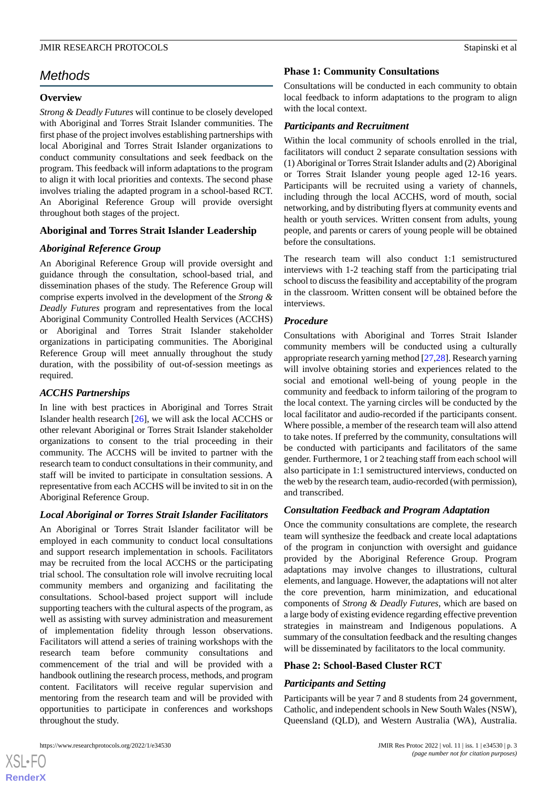## *Methods*

### **Overview**

*Strong & Deadly Futures* will continue to be closely developed with Aboriginal and Torres Strait Islander communities. The first phase of the project involves establishing partnerships with local Aboriginal and Torres Strait Islander organizations to conduct community consultations and seek feedback on the program. This feedback will inform adaptations to the program to align it with local priorities and contexts. The second phase involves trialing the adapted program in a school-based RCT. An Aboriginal Reference Group will provide oversight throughout both stages of the project.

## **Aboriginal and Torres Strait Islander Leadership**

## *Aboriginal Reference Group*

An Aboriginal Reference Group will provide oversight and guidance through the consultation, school-based trial, and dissemination phases of the study. The Reference Group will comprise experts involved in the development of the *Strong & Deadly Futures* program and representatives from the local Aboriginal Community Controlled Health Services (ACCHS) or Aboriginal and Torres Strait Islander stakeholder organizations in participating communities. The Aboriginal Reference Group will meet annually throughout the study duration, with the possibility of out-of-session meetings as required.

#### *ACCHS Partnerships*

In line with best practices in Aboriginal and Torres Strait Islander health research [[26\]](#page-10-7), we will ask the local ACCHS or other relevant Aboriginal or Torres Strait Islander stakeholder organizations to consent to the trial proceeding in their community. The ACCHS will be invited to partner with the research team to conduct consultations in their community, and staff will be invited to participate in consultation sessions. A representative from each ACCHS will be invited to sit in on the Aboriginal Reference Group.

#### *Local Aboriginal or Torres Strait Islander Facilitators*

An Aboriginal or Torres Strait Islander facilitator will be employed in each community to conduct local consultations and support research implementation in schools. Facilitators may be recruited from the local ACCHS or the participating trial school. The consultation role will involve recruiting local community members and organizing and facilitating the consultations. School-based project support will include supporting teachers with the cultural aspects of the program, as well as assisting with survey administration and measurement of implementation fidelity through lesson observations. Facilitators will attend a series of training workshops with the research team before community consultations and commencement of the trial and will be provided with a handbook outlining the research process, methods, and program content. Facilitators will receive regular supervision and mentoring from the research team and will be provided with opportunities to participate in conferences and workshops throughout the study.

### **Phase 1: Community Consultations**

Consultations will be conducted in each community to obtain local feedback to inform adaptations to the program to align with the local context.

## *Participants and Recruitment*

Within the local community of schools enrolled in the trial, facilitators will conduct 2 separate consultation sessions with (1) Aboriginal or Torres Strait Islander adults and (2) Aboriginal or Torres Strait Islander young people aged 12-16 years. Participants will be recruited using a variety of channels, including through the local ACCHS, word of mouth, social networking, and by distributing flyers at community events and health or youth services. Written consent from adults, young people, and parents or carers of young people will be obtained before the consultations.

The research team will also conduct 1:1 semistructured interviews with 1-2 teaching staff from the participating trial school to discuss the feasibility and acceptability of the program in the classroom. Written consent will be obtained before the interviews.

## *Procedure*

Consultations with Aboriginal and Torres Strait Islander community members will be conducted using a culturally appropriate research yarning method [[27,](#page-10-8)[28](#page-10-9)]. Research yarning will involve obtaining stories and experiences related to the social and emotional well-being of young people in the community and feedback to inform tailoring of the program to the local context. The yarning circles will be conducted by the local facilitator and audio-recorded if the participants consent. Where possible, a member of the research team will also attend to take notes. If preferred by the community, consultations will be conducted with participants and facilitators of the same gender. Furthermore, 1 or 2 teaching staff from each school will also participate in 1:1 semistructured interviews, conducted on the web by the research team, audio-recorded (with permission), and transcribed.

#### *Consultation Feedback and Program Adaptation*

Once the community consultations are complete, the research team will synthesize the feedback and create local adaptations of the program in conjunction with oversight and guidance provided by the Aboriginal Reference Group. Program adaptations may involve changes to illustrations, cultural elements, and language. However, the adaptations will not alter the core prevention, harm minimization, and educational components of *Strong & Deadly Futures*, which are based on a large body of existing evidence regarding effective prevention strategies in mainstream and Indigenous populations. A summary of the consultation feedback and the resulting changes will be disseminated by facilitators to the local community.

#### **Phase 2: School-Based Cluster RCT**

#### *Participants and Setting*

Participants will be year 7 and 8 students from 24 government, Catholic, and independent schools in New South Wales (NSW), Queensland (QLD), and Western Australia (WA), Australia.

https://www.researchprotocols.org/2022/1/e34530 JMIR Res Protoc 2022 | vol. 11 | iss. 1 | e34530 | p. 3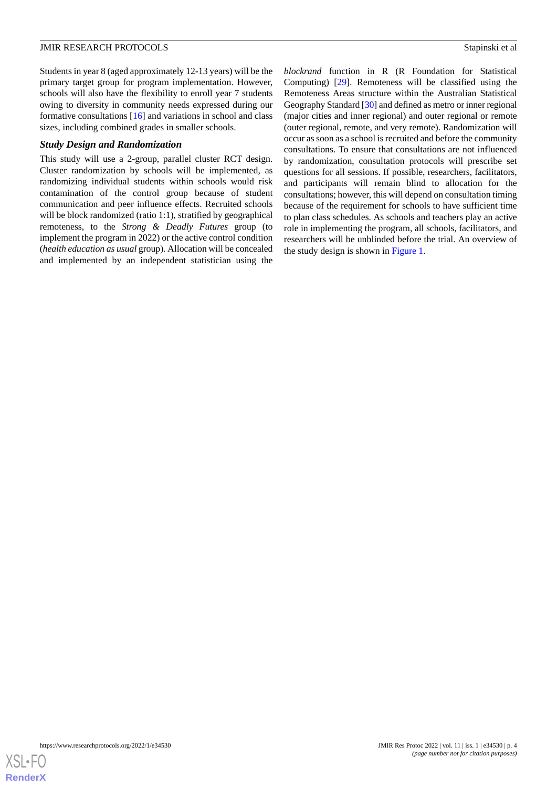Students in year 8 (aged approximately 12-13 years) will be the primary target group for program implementation. However, schools will also have the flexibility to enroll year 7 students owing to diversity in community needs expressed during our formative consultations [\[16](#page-10-4)] and variations in school and class sizes, including combined grades in smaller schools.

## *Study Design and Randomization*

This study will use a 2-group, parallel cluster RCT design. Cluster randomization by schools will be implemented, as randomizing individual students within schools would risk contamination of the control group because of student communication and peer influence effects. Recruited schools will be block randomized (ratio 1:1), stratified by geographical remoteness, to the *Strong & Deadly Futures* group (to implement the program in 2022) or the active control condition (*health education as usual* group). Allocation will be concealed and implemented by an independent statistician using the

*blockrand* function in R (R Foundation for Statistical Computing) [[29\]](#page-10-10). Remoteness will be classified using the Remoteness Areas structure within the Australian Statistical Geography Standard [\[30\]](#page-10-11) and defined as metro or inner regional (major cities and inner regional) and outer regional or remote (outer regional, remote, and very remote). Randomization will occur as soon as a school is recruited and before the community consultations. To ensure that consultations are not influenced by randomization, consultation protocols will prescribe set questions for all sessions. If possible, researchers, facilitators, and participants will remain blind to allocation for the consultations; however, this will depend on consultation timing because of the requirement for schools to have sufficient time to plan class schedules. As schools and teachers play an active role in implementing the program, all schools, facilitators, and researchers will be unblinded before the trial. An overview of the study design is shown in [Figure 1.](#page-4-0)

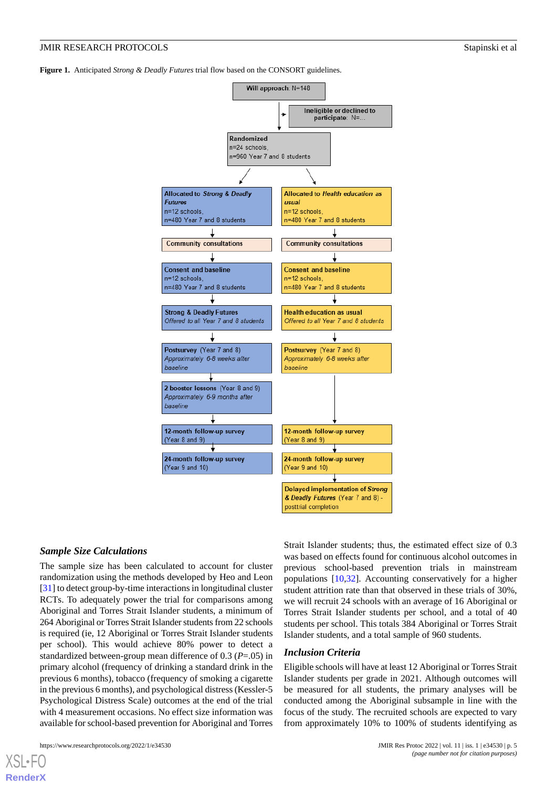<span id="page-4-0"></span>**Figure 1.** Anticipated *Strong & Deadly Futures* trial flow based on the CONSORT guidelines.



#### *Sample Size Calculations*

The sample size has been calculated to account for cluster randomization using the methods developed by Heo and Leon [[31\]](#page-10-12) to detect group-by-time interactions in longitudinal cluster RCTs. To adequately power the trial for comparisons among Aboriginal and Torres Strait Islander students, a minimum of 264 Aboriginal or Torres Strait Islander students from 22 schools is required (ie, 12 Aboriginal or Torres Strait Islander students per school). This would achieve 80% power to detect a standardized between-group mean difference of 0.3 (*P*=.05) in primary alcohol (frequency of drinking a standard drink in the previous 6 months), tobacco (frequency of smoking a cigarette in the previous 6 months), and psychological distress (Kessler-5 Psychological Distress Scale) outcomes at the end of the trial with 4 measurement occasions. No effect size information was available for school-based prevention for Aboriginal and Torres

Strait Islander students; thus, the estimated effect size of 0.3 was based on effects found for continuous alcohol outcomes in previous school-based prevention trials in mainstream populations [[10](#page-9-8)[,32](#page-10-13)]. Accounting conservatively for a higher student attrition rate than that observed in these trials of 30%, we will recruit 24 schools with an average of 16 Aboriginal or Torres Strait Islander students per school, and a total of 40 students per school. This totals 384 Aboriginal or Torres Strait Islander students, and a total sample of 960 students.

#### *Inclusion Criteria*

Eligible schools will have at least 12 Aboriginal or Torres Strait Islander students per grade in 2021. Although outcomes will be measured for all students, the primary analyses will be conducted among the Aboriginal subsample in line with the focus of the study. The recruited schools are expected to vary from approximately 10% to 100% of students identifying as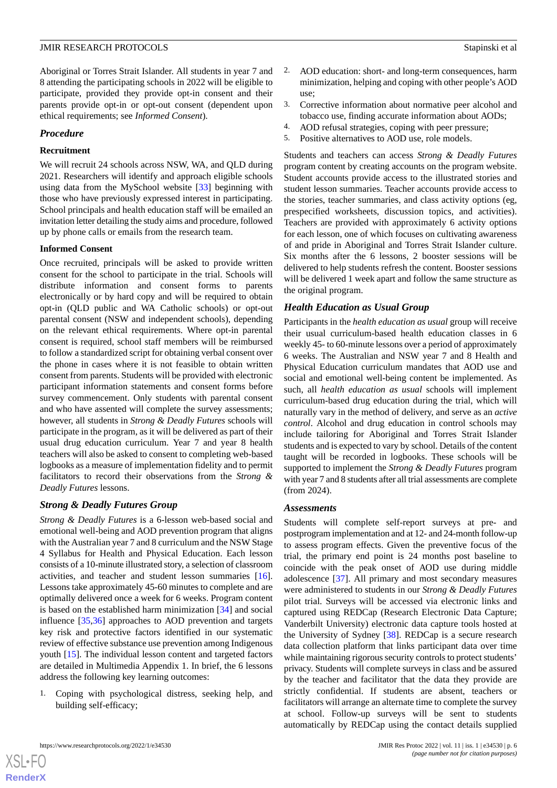Aboriginal or Torres Strait Islander. All students in year 7 and 8 attending the participating schools in 2022 will be eligible to participate, provided they provide opt-in consent and their parents provide opt-in or opt-out consent (dependent upon ethical requirements; see *Informed Consent*).

#### *Procedure*

#### **Recruitment**

We will recruit 24 schools across NSW, WA, and QLD during 2021. Researchers will identify and approach eligible schools using data from the MySchool website [\[33](#page-11-0)] beginning with those who have previously expressed interest in participating. School principals and health education staff will be emailed an invitation letter detailing the study aims and procedure, followed up by phone calls or emails from the research team.

#### **Informed Consent**

Once recruited, principals will be asked to provide written consent for the school to participate in the trial. Schools will distribute information and consent forms to parents electronically or by hard copy and will be required to obtain opt-in (QLD public and WA Catholic schools) or opt-out parental consent (NSW and independent schools), depending on the relevant ethical requirements. Where opt-in parental consent is required, school staff members will be reimbursed to follow a standardized script for obtaining verbal consent over the phone in cases where it is not feasible to obtain written consent from parents. Students will be provided with electronic participant information statements and consent forms before survey commencement. Only students with parental consent and who have assented will complete the survey assessments; however, all students in *Strong & Deadly Futures* schools will participate in the program, as it will be delivered as part of their usual drug education curriculum. Year 7 and year 8 health teachers will also be asked to consent to completing web-based logbooks as a measure of implementation fidelity and to permit facilitators to record their observations from the *Strong & Deadly Futures* lessons.

## *Strong & Deadly Futures Group*

*Strong & Deadly Futures* is a 6-lesson web-based social and emotional well-being and AOD prevention program that aligns with the Australian year 7 and 8 curriculum and the NSW Stage 4 Syllabus for Health and Physical Education. Each lesson consists of a 10-minute illustrated story, a selection of classroom activities, and teacher and student lesson summaries [[16\]](#page-10-4). Lessons take approximately 45-60 minutes to complete and are optimally delivered once a week for 6 weeks. Program content is based on the established harm minimization [\[34](#page-11-1)] and social influence [[35,](#page-11-2)[36](#page-11-3)] approaches to AOD prevention and targets key risk and protective factors identified in our systematic review of effective substance use prevention among Indigenous youth [[15\]](#page-10-3). The individual lesson content and targeted factors are detailed in Multimedia Appendix 1. In brief, the 6 lessons address the following key learning outcomes:

1. Coping with psychological distress, seeking help, and building self-efficacy;

- AOD education: short- and long-term consequences, harm minimization, helping and coping with other people's AOD use;
- 3. Corrective information about normative peer alcohol and tobacco use, finding accurate information about AODs;
- 4. AOD refusal strategies, coping with peer pressure;
- 5. Positive alternatives to AOD use, role models.

Students and teachers can access *Strong & Deadly Futures* program content by creating accounts on the program website. Student accounts provide access to the illustrated stories and student lesson summaries. Teacher accounts provide access to the stories, teacher summaries, and class activity options (eg, prespecified worksheets, discussion topics, and activities). Teachers are provided with approximately 6 activity options for each lesson, one of which focuses on cultivating awareness of and pride in Aboriginal and Torres Strait Islander culture. Six months after the 6 lessons, 2 booster sessions will be delivered to help students refresh the content. Booster sessions will be delivered 1 week apart and follow the same structure as the original program.

## *Health Education as Usual Group*

Participants in the *health education as usual* group will receive their usual curriculum-based health education classes in 6 weekly 45- to 60-minute lessons over a period of approximately 6 weeks. The Australian and NSW year 7 and 8 Health and Physical Education curriculum mandates that AOD use and social and emotional well-being content be implemented. As such, all *health education as usual* schools will implement curriculum-based drug education during the trial, which will naturally vary in the method of delivery, and serve as an *active control*. Alcohol and drug education in control schools may include tailoring for Aboriginal and Torres Strait Islander students and is expected to vary by school. Details of the content taught will be recorded in logbooks. These schools will be supported to implement the *Strong & Deadly Futures* program with year 7 and 8 students after all trial assessments are complete (from 2024).

## *Assessments*

Students will complete self-report surveys at pre- and postprogram implementation and at 12- and 24-month follow-up to assess program effects. Given the preventive focus of the trial, the primary end point is 24 months post baseline to coincide with the peak onset of AOD use during middle adolescence [[37\]](#page-11-4). All primary and most secondary measures were administered to students in our *Strong & Deadly Futures* pilot trial. Surveys will be accessed via electronic links and captured using REDCap (Research Electronic Data Capture; Vanderbilt University) electronic data capture tools hosted at the University of Sydney [\[38](#page-11-5)]. REDCap is a secure research data collection platform that links participant data over time while maintaining rigorous security controls to protect students' privacy. Students will complete surveys in class and be assured by the teacher and facilitator that the data they provide are strictly confidential. If students are absent, teachers or facilitators will arrange an alternate time to complete the survey at school. Follow-up surveys will be sent to students automatically by REDCap using the contact details supplied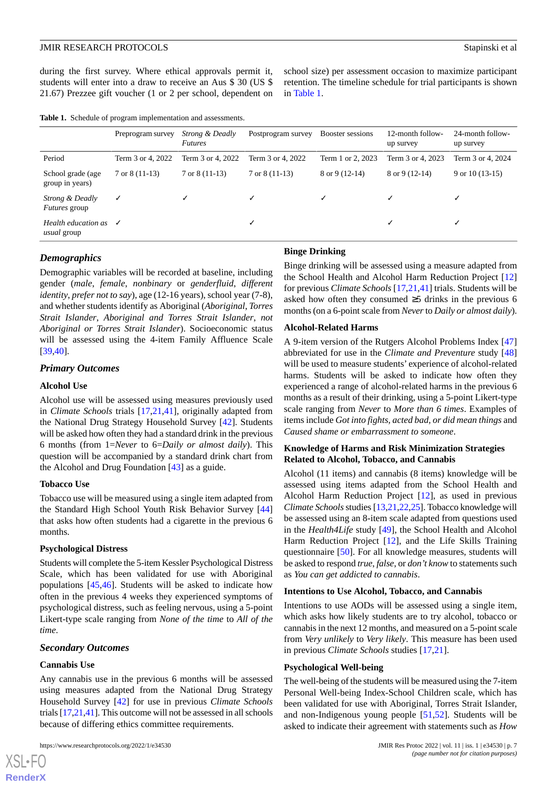during the first survey. Where ethical approvals permit it, students will enter into a draw to receive an Aus \$ 30 (US \$ 21.67) Prezzee gift voucher (1 or 2 per school, dependent on

school size) per assessment occasion to maximize participant retention. The timeline schedule for trial participants is shown in [Table 1](#page-6-0).

<span id="page-6-0"></span>

| <b>Table 1.</b> Schedule of program implementation and assessments. |  |  |
|---------------------------------------------------------------------|--|--|
|---------------------------------------------------------------------|--|--|

|                                                     | Preprogram survey        | <i>Strong &amp; Deadly</i><br><b>Futures</b> | Postprogram survey       | Booster sessions         | 12-month follow-<br>up survey | 24-month follow-<br>up survey |
|-----------------------------------------------------|--------------------------|----------------------------------------------|--------------------------|--------------------------|-------------------------------|-------------------------------|
| Period                                              | Term 3 or 4, 2022        | Term 3 or 4, 2022                            | Term 3 or 4, 2022        | Term 1 or 2, 2023        | Term 3 or 4, 2023             | Term 3 or 4, 2024             |
| School grade (age<br>group in years)                | $7 \text{ or } 8(11-13)$ | $7 \text{ or } 8(11-13)$                     | $7 \text{ or } 8(11-13)$ | $8 \text{ or } 9(12-14)$ | $8$ or $9(12-14)$             | 9 or $10(13-15)$              |
| Strong & Deadly<br><i>Futures</i> group             | $\checkmark$             | ✓                                            |                          |                          |                               |                               |
| Health education as $\sqrt{}$<br><i>usual</i> group |                          |                                              |                          |                          | ✓                             |                               |

#### *Demographics*

Demographic variables will be recorded at baseline, including gender (*male*, *female*, *nonbinary* or *genderfluid*, *different identity*, *prefer not to say*), age (12-16 years), school year (7-8), and whether students identify as Aboriginal (*Aboriginal*, *Torres Strait Islander*, *Aboriginal and Torres Strait Islander*, *not Aboriginal or Torres Strait Islander*). Socioeconomic status will be assessed using the 4-item Family Affluence Scale [[39](#page-11-6)[,40](#page-11-7)].

## *Primary Outcomes*

#### **Alcohol Use**

Alcohol use will be assessed using measures previously used in *Climate Schools* trials [[17,](#page-10-5)[21](#page-10-14),[41\]](#page-11-8), originally adapted from the National Drug Strategy Household Survey [[42\]](#page-11-9). Students will be asked how often they had a standard drink in the previous 6 months (from 1=*Never* to 6=*Daily or almost daily*). This question will be accompanied by a standard drink chart from the Alcohol and Drug Foundation [\[43](#page-11-10)] as a guide.

#### **Tobacco Use**

Tobacco use will be measured using a single item adapted from the Standard High School Youth Risk Behavior Survey [\[44](#page-11-11)] that asks how often students had a cigarette in the previous 6 months.

#### **Psychological Distress**

Students will complete the 5-item Kessler Psychological Distress Scale, which has been validated for use with Aboriginal populations [[45,](#page-11-12)[46](#page-11-13)]. Students will be asked to indicate how often in the previous 4 weeks they experienced symptoms of psychological distress, such as feeling nervous, using a 5-point Likert-type scale ranging from *None of the time* to *All of the time*.

#### *Secondary Outcomes*

#### **Cannabis Use**

[XSL](http://www.w3.org/Style/XSL)•FO **[RenderX](http://www.renderx.com/)**

Any cannabis use in the previous 6 months will be assessed using measures adapted from the National Drug Strategy Household Survey [\[42](#page-11-9)] for use in previous *Climate Schools* trials [\[17](#page-10-5)[,21](#page-10-14)[,41](#page-11-8)]. This outcome will not be assessed in all schools because of differing ethics committee requirements.

#### **Binge Drinking**

Binge drinking will be assessed using a measure adapted from the School Health and Alcohol Harm Reduction Project [\[12](#page-10-1)] for previous *Climate Schools* [[17](#page-10-5)[,21](#page-10-14),[41\]](#page-11-8) trials. Students will be asked how often they consumed ≥5 drinks in the previous 6 months (on a 6-point scale from *Never*to *Daily or almost daily*).

#### **Alcohol-Related Harms**

A 9-item version of the Rutgers Alcohol Problems Index [\[47](#page-11-14)] abbreviated for use in the *Climate and Preventure* study [\[48](#page-11-15)] will be used to measure students' experience of alcohol-related harms. Students will be asked to indicate how often they experienced a range of alcohol-related harms in the previous 6 months as a result of their drinking, using a 5-point Likert-type scale ranging from *Never* to *More than 6 times*. Examples of items include *Got into fights, acted bad, or did mean things* and *Caused shame or embarrassment to someone*.

#### **Knowledge of Harms and Risk Minimization Strategies Related to Alcohol, Tobacco, and Cannabis**

Alcohol (11 items) and cannabis (8 items) knowledge will be assessed using items adapted from the School Health and Alcohol Harm Reduction Project [[12\]](#page-10-1), as used in previous *Climate Schools*studies [\[13](#page-10-15),[21](#page-10-14)[,22](#page-10-16)[,25](#page-10-6)]. Tobacco knowledge will be assessed using an 8-item scale adapted from questions used in the *Health4Life* study [\[49](#page-11-16)], the School Health and Alcohol Harm Reduction Project [\[12](#page-10-1)], and the Life Skills Training questionnaire [[50\]](#page-11-17). For all knowledge measures, students will be asked to respond *true*, *false*, or *don't know* to statements such as *You can get addicted to cannabis*.

#### **Intentions to Use Alcohol, Tobacco, and Cannabis**

Intentions to use AODs will be assessed using a single item, which asks how likely students are to try alcohol, tobacco or cannabis in the next 12 months, and measured on a 5-point scale from *Very unlikely* to *Very likely*. This measure has been used in previous *Climate Schools* studies [[17](#page-10-5)[,21](#page-10-14)].

#### **Psychological Well-being**

The well-being of the students will be measured using the 7-item Personal Well-being Index-School Children scale, which has been validated for use with Aboriginal, Torres Strait Islander, and non-Indigenous young people [\[51](#page-11-18),[52\]](#page-11-19). Students will be asked to indicate their agreement with statements such as *How*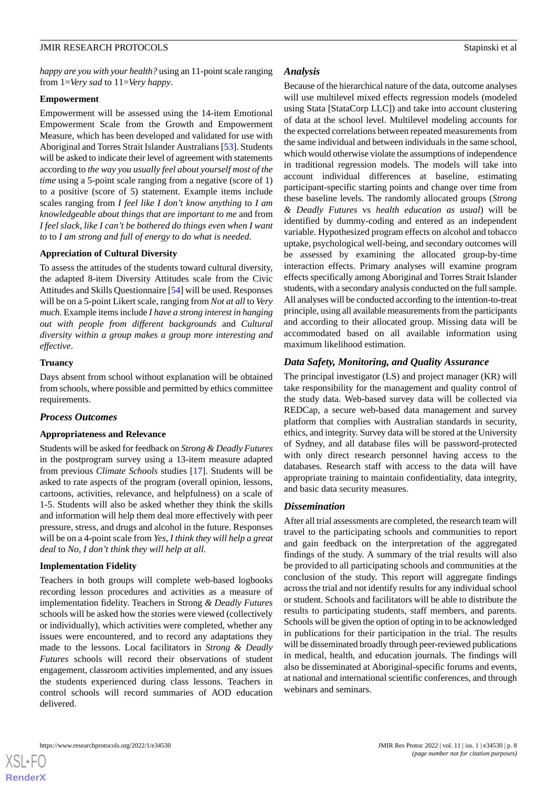*happy are you with your health?* using an 11-point scale ranging from 1=*Very sad* to 11=*Very happy*.

#### **Empowerment**

Empowerment will be assessed using the 14-item Emotional Empowerment Scale from the Growth and Empowerment Measure, which has been developed and validated for use with Aboriginal and Torres Strait Islander Australians [[53\]](#page-11-20). Students will be asked to indicate their level of agreement with statements according to *the way you usually feel about yourself most of the time* using a 5-point scale ranging from a negative (score of 1) to a positive (score of 5) statement. Example items include scales ranging from *I feel like I don't know anything* to *I am knowledgeable about things that are important to me* and from *I feel slack, like I can't be bothered do things even when I want to* to *I am strong and full of energy to do what is needed*.

#### **Appreciation of Cultural Diversity**

To assess the attitudes of the students toward cultural diversity, the adapted 8-item Diversity Attitudes scale from the Civic Attitudes and Skills Questionnaire [[54\]](#page-11-21) will be used. Responses will be on a 5-point Likert scale, ranging from *Not at all*to *Very much*. Example items include *I have a strong interest in hanging out with people from different backgrounds* and *Cultural diversity within a group makes a group more interesting and effective*.

#### **Truancy**

Days absent from school without explanation will be obtained from schools, where possible and permitted by ethics committee requirements.

#### *Process Outcomes*

#### **Appropriateness and Relevance**

Students will be asked for feedback on *Strong & Deadly Futures* in the postprogram survey using a 13-item measure adapted from previous *Climate Schools* studies [\[17](#page-10-5)]. Students will be asked to rate aspects of the program (overall opinion, lessons, cartoons, activities, relevance, and helpfulness) on a scale of 1-5. Students will also be asked whether they think the skills and information will help them deal more effectively with peer pressure, stress, and drugs and alcohol in the future. Responses will be on a 4-point scale from *Yes, I think they will help a great deal* to *No, I don't think they will help at all*.

#### **Implementation Fidelity**

Teachers in both groups will complete web-based logbooks recording lesson procedures and activities as a measure of implementation fidelity. Teachers in Strong *& Deadly Futures* schools will be asked how the stories were viewed (collectively or individually), which activities were completed, whether any issues were encountered, and to record any adaptations they made to the lessons. Local facilitators in *Strong & Deadly Futures* schools will record their observations of student engagement, classroom activities implemented, and any issues the students experienced during class lessons. Teachers in control schools will record summaries of AOD education delivered.

#### *Analysis*

Because of the hierarchical nature of the data, outcome analyses will use multilevel mixed effects regression models (modeled using Stata [StataCorp LLC]) and take into account clustering of data at the school level. Multilevel modeling accounts for the expected correlations between repeated measurements from the same individual and between individuals in the same school, which would otherwise violate the assumptions of independence in traditional regression models. The models will take into account individual differences at baseline, estimating participant-specific starting points and change over time from these baseline levels. The randomly allocated groups (*Strong & Deadly Futures* vs *health education as usual*) will be identified by dummy-coding and entered as an independent variable. Hypothesized program effects on alcohol and tobacco uptake, psychological well-being, and secondary outcomes will be assessed by examining the allocated group-by-time interaction effects. Primary analyses will examine program effects specifically among Aboriginal and Torres Strait Islander students, with a secondary analysis conducted on the full sample. All analyses will be conducted according to the intention-to-treat principle, using all available measurements from the participants and according to their allocated group. Missing data will be accommodated based on all available information using maximum likelihood estimation.

## *Data Safety, Monitoring, and Quality Assurance*

The principal investigator (LS) and project manager (KR) will take responsibility for the management and quality control of the study data. Web-based survey data will be collected via REDCap, a secure web-based data management and survey platform that complies with Australian standards in security, ethics, and integrity. Survey data will be stored at the University of Sydney, and all database files will be password-protected with only direct research personnel having access to the databases. Research staff with access to the data will have appropriate training to maintain confidentiality, data integrity, and basic data security measures.

#### *Dissemination*

After all trial assessments are completed, the research team will travel to the participating schools and communities to report and gain feedback on the interpretation of the aggregated findings of the study. A summary of the trial results will also be provided to all participating schools and communities at the conclusion of the study. This report will aggregate findings across the trial and not identify results for any individual school or student. Schools and facilitators will be able to distribute the results to participating students, staff members, and parents. Schools will be given the option of opting in to be acknowledged in publications for their participation in the trial. The results will be disseminated broadly through peer-reviewed publications in medical, health, and education journals. The findings will also be disseminated at Aboriginal-specific forums and events, at national and international scientific conferences, and through webinars and seminars.

 $XS$  • FO **[RenderX](http://www.renderx.com/)**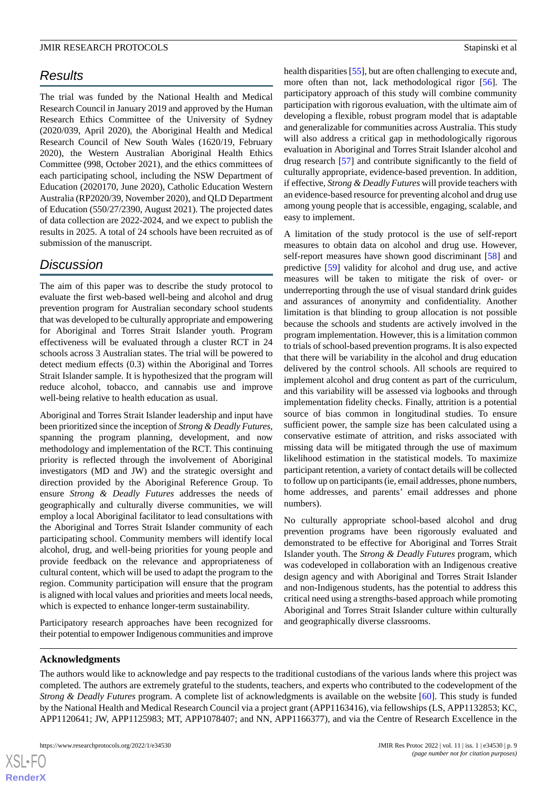## *Results*

The trial was funded by the National Health and Medical Research Council in January 2019 and approved by the Human Research Ethics Committee of the University of Sydney (2020/039, April 2020), the Aboriginal Health and Medical Research Council of New South Wales (1620/19, February 2020), the Western Australian Aboriginal Health Ethics Committee (998, October 2021), and the ethics committees of each participating school, including the NSW Department of Education (2020170, June 2020), Catholic Education Western Australia (RP2020/39, November 2020), and QLD Department of Education (550/27/2390, August 2021). The projected dates of data collection are 2022-2024, and we expect to publish the results in 2025. A total of 24 schools have been recruited as of submission of the manuscript.

## *Discussion*

The aim of this paper was to describe the study protocol to evaluate the first web-based well-being and alcohol and drug prevention program for Australian secondary school students that was developed to be culturally appropriate and empowering for Aboriginal and Torres Strait Islander youth. Program effectiveness will be evaluated through a cluster RCT in 24 schools across 3 Australian states. The trial will be powered to detect medium effects (0.3) within the Aboriginal and Torres Strait Islander sample. It is hypothesized that the program will reduce alcohol, tobacco, and cannabis use and improve well-being relative to health education as usual.

Aboriginal and Torres Strait Islander leadership and input have been prioritized since the inception of *Strong & Deadly Futures*, spanning the program planning, development, and now methodology and implementation of the RCT. This continuing priority is reflected through the involvement of Aboriginal investigators (MD and JW) and the strategic oversight and direction provided by the Aboriginal Reference Group. To ensure *Strong & Deadly Futures* addresses the needs of geographically and culturally diverse communities, we will employ a local Aboriginal facilitator to lead consultations with the Aboriginal and Torres Strait Islander community of each participating school. Community members will identify local alcohol, drug, and well-being priorities for young people and provide feedback on the relevance and appropriateness of cultural content, which will be used to adapt the program to the region. Community participation will ensure that the program is aligned with local values and priorities and meets local needs, which is expected to enhance longer-term sustainability.

Participatory research approaches have been recognized for their potential to empower Indigenous communities and improve

health disparities [\[55](#page-12-0)], but are often challenging to execute and, more often than not, lack methodological rigor [\[56](#page-12-1)]. The participatory approach of this study will combine community participation with rigorous evaluation, with the ultimate aim of developing a flexible, robust program model that is adaptable and generalizable for communities across Australia. This study will also address a critical gap in methodologically rigorous evaluation in Aboriginal and Torres Strait Islander alcohol and drug research [\[57](#page-12-2)] and contribute significantly to the field of culturally appropriate, evidence-based prevention. In addition, if effective, *Strong & Deadly Futures* will provide teachers with an evidence-based resource for preventing alcohol and drug use among young people that is accessible, engaging, scalable, and easy to implement.

A limitation of the study protocol is the use of self-report measures to obtain data on alcohol and drug use. However, self-report measures have shown good discriminant [\[58](#page-12-3)] and predictive [\[59](#page-12-4)] validity for alcohol and drug use, and active measures will be taken to mitigate the risk of over- or underreporting through the use of visual standard drink guides and assurances of anonymity and confidentiality. Another limitation is that blinding to group allocation is not possible because the schools and students are actively involved in the program implementation. However, this is a limitation common to trials of school-based prevention programs. It is also expected that there will be variability in the alcohol and drug education delivered by the control schools. All schools are required to implement alcohol and drug content as part of the curriculum, and this variability will be assessed via logbooks and through implementation fidelity checks. Finally, attrition is a potential source of bias common in longitudinal studies. To ensure sufficient power, the sample size has been calculated using a conservative estimate of attrition, and risks associated with missing data will be mitigated through the use of maximum likelihood estimation in the statistical models. To maximize participant retention, a variety of contact details will be collected to follow up on participants (ie, email addresses, phone numbers, home addresses, and parents' email addresses and phone numbers).

No culturally appropriate school-based alcohol and drug prevention programs have been rigorously evaluated and demonstrated to be effective for Aboriginal and Torres Strait Islander youth. The *Strong & Deadly Futures* program, which was codeveloped in collaboration with an Indigenous creative design agency and with Aboriginal and Torres Strait Islander and non-Indigenous students, has the potential to address this critical need using a strengths-based approach while promoting Aboriginal and Torres Strait Islander culture within culturally and geographically diverse classrooms.

#### **Acknowledgments**

 $XS$  $\cdot$ FC **[RenderX](http://www.renderx.com/)**

The authors would like to acknowledge and pay respects to the traditional custodians of the various lands where this project was completed. The authors are extremely grateful to the students, teachers, and experts who contributed to the codevelopment of the *Strong & Deadly Futures* program. A complete list of acknowledgments is available on the website [\[60](#page-12-5)]. This study is funded by the National Health and Medical Research Council via a project grant (APP1163416), via fellowships (LS, APP1132853; KC, APP1120641; JW, APP1125983; MT, APP1078407; and NN, APP1166377), and via the Centre of Research Excellence in the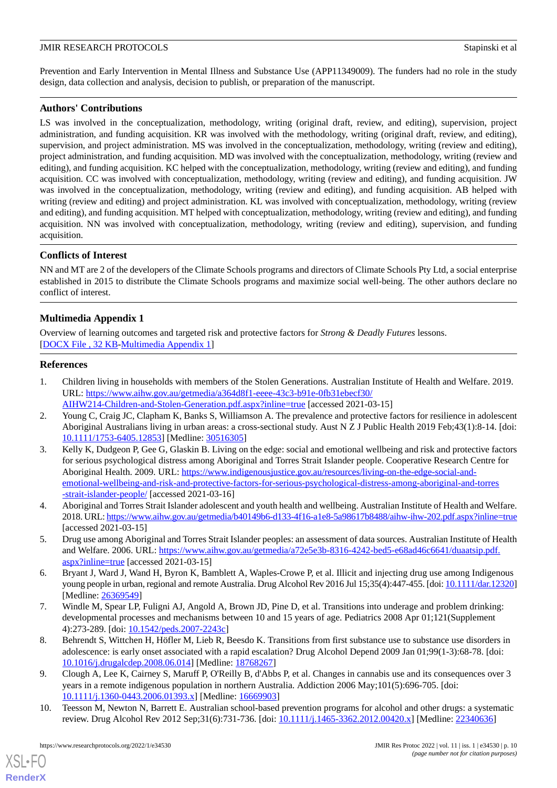Prevention and Early Intervention in Mental Illness and Substance Use (APP11349009). The funders had no role in the study design, data collection and analysis, decision to publish, or preparation of the manuscript.

## **Authors' Contributions**

LS was involved in the conceptualization, methodology, writing (original draft, review, and editing), supervision, project administration, and funding acquisition. KR was involved with the methodology, writing (original draft, review, and editing), supervision, and project administration. MS was involved in the conceptualization, methodology, writing (review and editing), project administration, and funding acquisition. MD was involved with the conceptualization, methodology, writing (review and editing), and funding acquisition. KC helped with the conceptualization, methodology, writing (review and editing), and funding acquisition. CC was involved with conceptualization, methodology, writing (review and editing), and funding acquisition. JW was involved in the conceptualization, methodology, writing (review and editing), and funding acquisition. AB helped with writing (review and editing) and project administration. KL was involved with conceptualization, methodology, writing (review and editing), and funding acquisition. MT helped with conceptualization, methodology, writing (review and editing), and funding acquisition. NN was involved with conceptualization, methodology, writing (review and editing), supervision, and funding acquisition.

## **Conflicts of Interest**

NN and MT are 2 of the developers of the Climate Schools programs and directors of Climate Schools Pty Ltd, a social enterprise established in 2015 to distribute the Climate Schools programs and maximize social well-being. The other authors declare no conflict of interest.

## **Multimedia Appendix 1**

<span id="page-9-0"></span>Overview of learning outcomes and targeted risk and protective factors for *Strong & Deadly Futures* lessons. [[DOCX File , 32 KB](https://jmir.org/api/download?alt_name=resprot_v11i1e34530_app1.docx&filename=a05d2056416d632879526137f97a680f.docx)-[Multimedia Appendix 1\]](https://jmir.org/api/download?alt_name=resprot_v11i1e34530_app1.docx&filename=a05d2056416d632879526137f97a680f.docx)

## **References**

- <span id="page-9-1"></span>1. Children living in households with members of the Stolen Generations. Australian Institute of Health and Welfare. 2019. URL: [https://www.aihw.gov.au/getmedia/a364d8f1-eeee-43c3-b91e-0fb31ebecf30/](https://www.aihw.gov.au/getmedia/a364d8f1-eeee-43c3-b91e-0fb31ebecf30/AIHW214-Children-and-Stolen-Generation.pdf.aspx?inline=true) [AIHW214-Children-and-Stolen-Generation.pdf.aspx?inline=true](https://www.aihw.gov.au/getmedia/a364d8f1-eeee-43c3-b91e-0fb31ebecf30/AIHW214-Children-and-Stolen-Generation.pdf.aspx?inline=true) [accessed 2021-03-15]
- <span id="page-9-2"></span>2. Young C, Craig JC, Clapham K, Banks S, Williamson A. The prevalence and protective factors for resilience in adolescent Aboriginal Australians living in urban areas: a cross-sectional study. Aust N Z J Public Health 2019 Feb;43(1):8-14. [doi: [10.1111/1753-6405.12853\]](http://dx.doi.org/10.1111/1753-6405.12853) [Medline: [30516305](http://www.ncbi.nlm.nih.gov/entrez/query.fcgi?cmd=Retrieve&db=PubMed&list_uids=30516305&dopt=Abstract)]
- <span id="page-9-3"></span>3. Kelly K, Dudgeon P, Gee G, Glaskin B. Living on the edge: social and emotional wellbeing and risk and protective factors for serious psychological distress among Aboriginal and Torres Strait Islander people. Cooperative Research Centre for Aboriginal Health. 2009. URL: [https://www.indigenousjustice.gov.au/resources/living-on-the-edge-social-and](https://www.indigenousjustice.gov.au/resources/living-on-the-edge-social-and-emotional-wellbeing-and-risk-and-protective-factors-for-serious-psychological-distress-among-aboriginal-and-torres-strait-islander-people/)[emotional-wellbeing-and-risk-and-protective-factors-for-serious-psychological-distress-among-aboriginal-and-torres](https://www.indigenousjustice.gov.au/resources/living-on-the-edge-social-and-emotional-wellbeing-and-risk-and-protective-factors-for-serious-psychological-distress-among-aboriginal-and-torres-strait-islander-people/) [-strait-islander-people/](https://www.indigenousjustice.gov.au/resources/living-on-the-edge-social-and-emotional-wellbeing-and-risk-and-protective-factors-for-serious-psychological-distress-among-aboriginal-and-torres-strait-islander-people/) [accessed 2021-03-16]
- <span id="page-9-5"></span><span id="page-9-4"></span>4. Aboriginal and Torres Strait Islander adolescent and youth health and wellbeing. Australian Institute of Health and Welfare. 2018. URL:<https://www.aihw.gov.au/getmedia/b40149b6-d133-4f16-a1e8-5a98617b8488/aihw-ihw-202.pdf.aspx?inline=true> [accessed 2021-03-15]
- <span id="page-9-6"></span>5. Drug use among Aboriginal and Torres Strait Islander peoples: an assessment of data sources. Australian Institute of Health and Welfare. 2006. URL: [https://www.aihw.gov.au/getmedia/a72e5e3b-8316-4242-bed5-e68ad46c6641/duaatsip.pdf.](https://www.aihw.gov.au/getmedia/a72e5e3b-8316-4242-bed5-e68ad46c6641/duaatsip.pdf.aspx?inline=true) [aspx?inline=true](https://www.aihw.gov.au/getmedia/a72e5e3b-8316-4242-bed5-e68ad46c6641/duaatsip.pdf.aspx?inline=true) [accessed 2021-03-15]
- 6. Bryant J, Ward J, Wand H, Byron K, Bamblett A, Waples-Crowe P, et al. Illicit and injecting drug use among Indigenous young people in urban, regional and remote Australia. Drug Alcohol Rev 2016 Jul 15;35(4):447-455. [doi: [10.1111/dar.12320\]](http://dx.doi.org/10.1111/dar.12320) [Medline: [26369549](http://www.ncbi.nlm.nih.gov/entrez/query.fcgi?cmd=Retrieve&db=PubMed&list_uids=26369549&dopt=Abstract)]
- <span id="page-9-7"></span>7. Windle M, Spear LP, Fuligni AJ, Angold A, Brown JD, Pine D, et al. Transitions into underage and problem drinking: developmental processes and mechanisms between 10 and 15 years of age. Pediatrics 2008 Apr 01;121(Supplement 4):273-289. [doi: [10.1542/peds.2007-2243c](http://dx.doi.org/10.1542/peds.2007-2243c)]
- <span id="page-9-8"></span>8. Behrendt S, Wittchen H, Höfler M, Lieb R, Beesdo K. Transitions from first substance use to substance use disorders in adolescence: is early onset associated with a rapid escalation? Drug Alcohol Depend 2009 Jan 01;99(1-3):68-78. [doi: [10.1016/j.drugalcdep.2008.06.014\]](http://dx.doi.org/10.1016/j.drugalcdep.2008.06.014) [Medline: [18768267\]](http://www.ncbi.nlm.nih.gov/entrez/query.fcgi?cmd=Retrieve&db=PubMed&list_uids=18768267&dopt=Abstract)
- 9. Clough A, Lee K, Cairney S, Maruff P, O'Reilly B, d'Abbs P, et al. Changes in cannabis use and its consequences over 3 years in a remote indigenous population in northern Australia. Addiction 2006 May;101(5):696-705. [doi: [10.1111/j.1360-0443.2006.01393.x\]](http://dx.doi.org/10.1111/j.1360-0443.2006.01393.x) [Medline: [16669903\]](http://www.ncbi.nlm.nih.gov/entrez/query.fcgi?cmd=Retrieve&db=PubMed&list_uids=16669903&dopt=Abstract)
- 10. Teesson M, Newton N, Barrett E. Australian school-based prevention programs for alcohol and other drugs: a systematic review. Drug Alcohol Rev 2012 Sep;31(6):731-736. [doi: [10.1111/j.1465-3362.2012.00420.x\]](http://dx.doi.org/10.1111/j.1465-3362.2012.00420.x) [Medline: [22340636](http://www.ncbi.nlm.nih.gov/entrez/query.fcgi?cmd=Retrieve&db=PubMed&list_uids=22340636&dopt=Abstract)]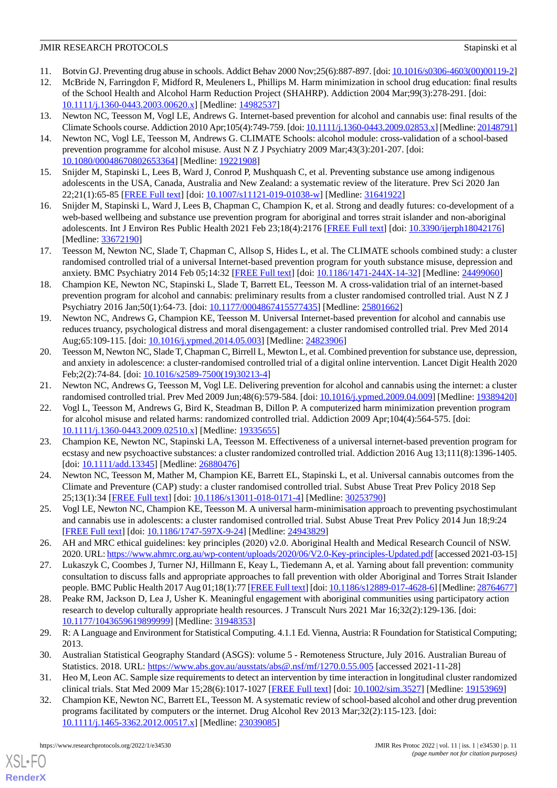- <span id="page-10-1"></span><span id="page-10-0"></span>11. Botvin GJ. Preventing drug abuse in schools. Addict Behav 2000 Nov;25(6):887-897. [doi: [10.1016/s0306-4603\(00\)00119-2\]](http://dx.doi.org/10.1016/s0306-4603(00)00119-2)
- 12. McBride N, Farringdon F, Midford R, Meuleners L, Phillips M. Harm minimization in school drug education: final results of the School Health and Alcohol Harm Reduction Project (SHAHRP). Addiction 2004 Mar;99(3):278-291. [doi: [10.1111/j.1360-0443.2003.00620.x\]](http://dx.doi.org/10.1111/j.1360-0443.2003.00620.x) [Medline: [14982537\]](http://www.ncbi.nlm.nih.gov/entrez/query.fcgi?cmd=Retrieve&db=PubMed&list_uids=14982537&dopt=Abstract)
- <span id="page-10-15"></span><span id="page-10-2"></span>13. Newton NC, Teesson M, Vogl LE, Andrews G. Internet-based prevention for alcohol and cannabis use: final results of the Climate Schools course. Addiction 2010 Apr;105(4):749-759. [doi: [10.1111/j.1360-0443.2009.02853.x](http://dx.doi.org/10.1111/j.1360-0443.2009.02853.x)] [Medline: [20148791\]](http://www.ncbi.nlm.nih.gov/entrez/query.fcgi?cmd=Retrieve&db=PubMed&list_uids=20148791&dopt=Abstract)
- 14. Newton NC, Vogl LE, Teesson M, Andrews G. CLIMATE Schools: alcohol module: cross-validation of a school-based prevention programme for alcohol misuse. Aust N Z J Psychiatry 2009 Mar;43(3):201-207. [doi: [10.1080/00048670802653364\]](http://dx.doi.org/10.1080/00048670802653364) [Medline: [19221908\]](http://www.ncbi.nlm.nih.gov/entrez/query.fcgi?cmd=Retrieve&db=PubMed&list_uids=19221908&dopt=Abstract)
- <span id="page-10-4"></span><span id="page-10-3"></span>15. Snijder M, Stapinski L, Lees B, Ward J, Conrod P, Mushquash C, et al. Preventing substance use among indigenous adolescents in the USA, Canada, Australia and New Zealand: a systematic review of the literature. Prev Sci 2020 Jan 22;21(1):65-85 [[FREE Full text](http://europepmc.org/abstract/MED/31641922)] [doi: [10.1007/s11121-019-01038-w\]](http://dx.doi.org/10.1007/s11121-019-01038-w) [Medline: [31641922\]](http://www.ncbi.nlm.nih.gov/entrez/query.fcgi?cmd=Retrieve&db=PubMed&list_uids=31641922&dopt=Abstract)
- <span id="page-10-5"></span>16. Snijder M, Stapinski L, Ward J, Lees B, Chapman C, Champion K, et al. Strong and deadly futures: co-development of a web-based wellbeing and substance use prevention program for aboriginal and torres strait islander and non-aboriginal adolescents. Int J Environ Res Public Health 2021 Feb 23;18(4):2176 [[FREE Full text](https://www.mdpi.com/resolver?pii=ijerph18042176)] [doi: [10.3390/ijerph18042176\]](http://dx.doi.org/10.3390/ijerph18042176) [Medline: [33672190](http://www.ncbi.nlm.nih.gov/entrez/query.fcgi?cmd=Retrieve&db=PubMed&list_uids=33672190&dopt=Abstract)]
- 17. Teesson M, Newton NC, Slade T, Chapman C, Allsop S, Hides L, et al. The CLIMATE schools combined study: a cluster randomised controlled trial of a universal Internet-based prevention program for youth substance misuse, depression and anxiety. BMC Psychiatry 2014 Feb 05;14:32 [\[FREE Full text\]](https://bmcpsychiatry.biomedcentral.com/articles/10.1186/1471-244X-14-32) [doi: [10.1186/1471-244X-14-32](http://dx.doi.org/10.1186/1471-244X-14-32)] [Medline: [24499060](http://www.ncbi.nlm.nih.gov/entrez/query.fcgi?cmd=Retrieve&db=PubMed&list_uids=24499060&dopt=Abstract)]
- 18. Champion KE, Newton NC, Stapinski L, Slade T, Barrett EL, Teesson M. A cross-validation trial of an internet-based prevention program for alcohol and cannabis: preliminary results from a cluster randomised controlled trial. Aust N Z J Psychiatry 2016 Jan;50(1):64-73. [doi: [10.1177/0004867415577435](http://dx.doi.org/10.1177/0004867415577435)] [Medline: [25801662](http://www.ncbi.nlm.nih.gov/entrez/query.fcgi?cmd=Retrieve&db=PubMed&list_uids=25801662&dopt=Abstract)]
- 19. Newton NC, Andrews G, Champion KE, Teesson M. Universal Internet-based prevention for alcohol and cannabis use reduces truancy, psychological distress and moral disengagement: a cluster randomised controlled trial. Prev Med 2014 Aug;65:109-115. [doi: [10.1016/j.ypmed.2014.05.003](http://dx.doi.org/10.1016/j.ypmed.2014.05.003)] [Medline: [24823906](http://www.ncbi.nlm.nih.gov/entrez/query.fcgi?cmd=Retrieve&db=PubMed&list_uids=24823906&dopt=Abstract)]
- <span id="page-10-16"></span><span id="page-10-14"></span>20. Teesson M, Newton NC, Slade T, Chapman C, Birrell L, Mewton L, et al. Combined prevention for substance use, depression, and anxiety in adolescence: a cluster-randomised controlled trial of a digital online intervention. Lancet Digit Health 2020 Feb;2(2):74-84. [doi: [10.1016/s2589-7500\(19\)30213-4\]](http://dx.doi.org/10.1016/s2589-7500(19)30213-4)
- 21. Newton NC, Andrews G, Teesson M, Vogl LE. Delivering prevention for alcohol and cannabis using the internet: a cluster randomised controlled trial. Prev Med 2009 Jun;48(6):579-584. [doi: [10.1016/j.ypmed.2009.04.009](http://dx.doi.org/10.1016/j.ypmed.2009.04.009)] [Medline: [19389420](http://www.ncbi.nlm.nih.gov/entrez/query.fcgi?cmd=Retrieve&db=PubMed&list_uids=19389420&dopt=Abstract)]
- 22. Vogl L, Teesson M, Andrews G, Bird K, Steadman B, Dillon P. A computerized harm minimization prevention program for alcohol misuse and related harms: randomized controlled trial. Addiction 2009 Apr;104(4):564-575. [doi: [10.1111/j.1360-0443.2009.02510.x\]](http://dx.doi.org/10.1111/j.1360-0443.2009.02510.x) [Medline: [19335655\]](http://www.ncbi.nlm.nih.gov/entrez/query.fcgi?cmd=Retrieve&db=PubMed&list_uids=19335655&dopt=Abstract)
- <span id="page-10-6"></span>23. Champion KE, Newton NC, Stapinski LA, Teesson M. Effectiveness of a universal internet-based prevention program for ecstasy and new psychoactive substances: a cluster randomized controlled trial. Addiction 2016 Aug 13;111(8):1396-1405. [doi: [10.1111/add.13345](http://dx.doi.org/10.1111/add.13345)] [Medline: [26880476\]](http://www.ncbi.nlm.nih.gov/entrez/query.fcgi?cmd=Retrieve&db=PubMed&list_uids=26880476&dopt=Abstract)
- <span id="page-10-7"></span>24. Newton NC, Teesson M, Mather M, Champion KE, Barrett EL, Stapinski L, et al. Universal cannabis outcomes from the Climate and Preventure (CAP) study: a cluster randomised controlled trial. Subst Abuse Treat Prev Policy 2018 Sep 25;13(1):34 [[FREE Full text\]](https://substanceabusepolicy.biomedcentral.com/articles/10.1186/s13011-018-0171-4) [doi: [10.1186/s13011-018-0171-4](http://dx.doi.org/10.1186/s13011-018-0171-4)] [Medline: [30253790](http://www.ncbi.nlm.nih.gov/entrez/query.fcgi?cmd=Retrieve&db=PubMed&list_uids=30253790&dopt=Abstract)]
- <span id="page-10-8"></span>25. Vogl LE, Newton NC, Champion KE, Teesson M. A universal harm-minimisation approach to preventing psychostimulant and cannabis use in adolescents: a cluster randomised controlled trial. Subst Abuse Treat Prev Policy 2014 Jun 18;9:24 [[FREE Full text](https://substanceabusepolicy.biomedcentral.com/articles/10.1186/1747-597X-9-24)] [doi: [10.1186/1747-597X-9-24\]](http://dx.doi.org/10.1186/1747-597X-9-24) [Medline: [24943829\]](http://www.ncbi.nlm.nih.gov/entrez/query.fcgi?cmd=Retrieve&db=PubMed&list_uids=24943829&dopt=Abstract)
- <span id="page-10-9"></span>26. AH and MRC ethical guidelines: key principles (2020) v2.0. Aboriginal Health and Medical Research Council of NSW. 2020. URL:<https://www.ahmrc.org.au/wp-content/uploads/2020/06/V2.0-Key-principles-Updated.pdf> [accessed 2021-03-15]
- <span id="page-10-10"></span>27. Lukaszyk C, Coombes J, Turner NJ, Hillmann E, Keay L, Tiedemann A, et al. Yarning about fall prevention: community consultation to discuss falls and appropriate approaches to fall prevention with older Aboriginal and Torres Strait Islander people. BMC Public Health 2017 Aug 01;18(1):77 [\[FREE Full text](https://bmcpublichealth.biomedcentral.com/articles/10.1186/s12889-017-4628-6)] [doi: [10.1186/s12889-017-4628-6](http://dx.doi.org/10.1186/s12889-017-4628-6)] [Medline: [28764677\]](http://www.ncbi.nlm.nih.gov/entrez/query.fcgi?cmd=Retrieve&db=PubMed&list_uids=28764677&dopt=Abstract)
- <span id="page-10-12"></span><span id="page-10-11"></span>28. Peake RM, Jackson D, Lea J, Usher K. Meaningful engagement with aboriginal communities using participatory action research to develop culturally appropriate health resources. J Transcult Nurs 2021 Mar 16;32(2):129-136. [doi: [10.1177/1043659619899999\]](http://dx.doi.org/10.1177/1043659619899999) [Medline: [31948353\]](http://www.ncbi.nlm.nih.gov/entrez/query.fcgi?cmd=Retrieve&db=PubMed&list_uids=31948353&dopt=Abstract)
- <span id="page-10-13"></span>29. R: A Language and Environment for Statistical Computing. 4.1.1 Ed. Vienna, Austria: R Foundation for Statistical Computing; 2013.
- 30. Australian Statistical Geography Standard (ASGS): volume 5 Remoteness Structure, July 2016. Australian Bureau of Statistics. 2018. URL: <https://www.abs.gov.au/ausstats/abs@.nsf/mf/1270.0.55.005> [accessed 2021-11-28]
- 31. Heo M, Leon AC. Sample size requirements to detect an intervention by time interaction in longitudinal cluster randomized clinical trials. Stat Med 2009 Mar 15;28(6):1017-1027 [\[FREE Full text\]](http://europepmc.org/abstract/MED/19153969) [doi: [10.1002/sim.3527](http://dx.doi.org/10.1002/sim.3527)] [Medline: [19153969](http://www.ncbi.nlm.nih.gov/entrez/query.fcgi?cmd=Retrieve&db=PubMed&list_uids=19153969&dopt=Abstract)]
- 32. Champion KE, Newton NC, Barrett EL, Teesson M. A systematic review of school-based alcohol and other drug prevention programs facilitated by computers or the internet. Drug Alcohol Rev 2013 Mar;32(2):115-123. [doi: [10.1111/j.1465-3362.2012.00517.x\]](http://dx.doi.org/10.1111/j.1465-3362.2012.00517.x) [Medline: [23039085\]](http://www.ncbi.nlm.nih.gov/entrez/query.fcgi?cmd=Retrieve&db=PubMed&list_uids=23039085&dopt=Abstract)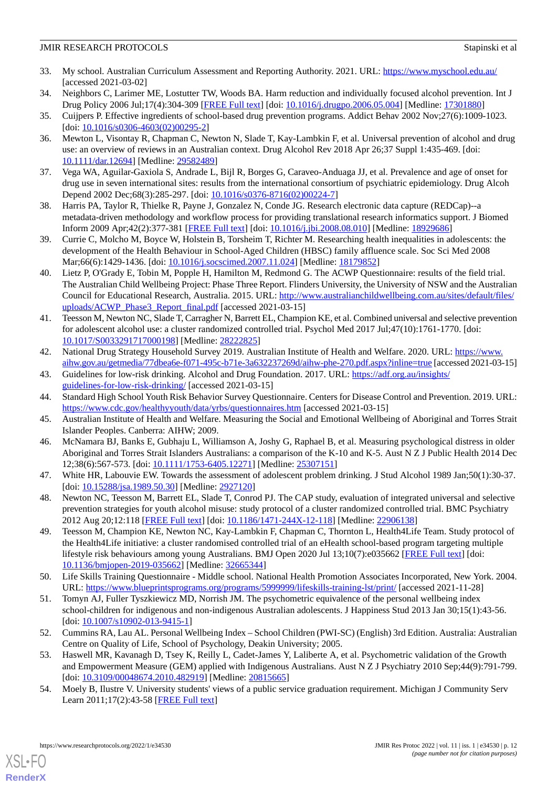- <span id="page-11-0"></span>33. My school. Australian Curriculum Assessment and Reporting Authority. 2021. URL: <https://www.myschool.edu.au/> [accessed 2021-03-02]
- <span id="page-11-2"></span><span id="page-11-1"></span>34. Neighbors C, Larimer ME, Lostutter TW, Woods BA. Harm reduction and individually focused alcohol prevention. Int J Drug Policy 2006 Jul;17(4):304-309 [\[FREE Full text](http://europepmc.org/abstract/MED/17301880)] [doi: [10.1016/j.drugpo.2006.05.004](http://dx.doi.org/10.1016/j.drugpo.2006.05.004)] [Medline: [17301880\]](http://www.ncbi.nlm.nih.gov/entrez/query.fcgi?cmd=Retrieve&db=PubMed&list_uids=17301880&dopt=Abstract)
- <span id="page-11-3"></span>35. Cuijpers P. Effective ingredients of school-based drug prevention programs. Addict Behav 2002 Nov;27(6):1009-1023. [doi: [10.1016/s0306-4603\(02\)00295-2](http://dx.doi.org/10.1016/s0306-4603(02)00295-2)]
- <span id="page-11-4"></span>36. Mewton L, Visontay R, Chapman C, Newton N, Slade T, Kay-Lambkin F, et al. Universal prevention of alcohol and drug use: an overview of reviews in an Australian context. Drug Alcohol Rev 2018 Apr 26;37 Suppl 1:435-469. [doi: [10.1111/dar.12694\]](http://dx.doi.org/10.1111/dar.12694) [Medline: [29582489](http://www.ncbi.nlm.nih.gov/entrez/query.fcgi?cmd=Retrieve&db=PubMed&list_uids=29582489&dopt=Abstract)]
- <span id="page-11-5"></span>37. Vega WA, Aguilar-Gaxiola S, Andrade L, Bijl R, Borges G, Caraveo-Anduaga JJ, et al. Prevalence and age of onset for drug use in seven international sites: results from the international consortium of psychiatric epidemiology. Drug Alcoh Depend 2002 Dec;68(3):285-297. [doi: [10.1016/s0376-8716\(02\)00224-7](http://dx.doi.org/10.1016/s0376-8716(02)00224-7)]
- <span id="page-11-6"></span>38. Harris PA, Taylor R, Thielke R, Payne J, Gonzalez N, Conde JG. Research electronic data capture (REDCap)--a metadata-driven methodology and workflow process for providing translational research informatics support. J Biomed Inform 2009 Apr;42(2):377-381 [\[FREE Full text\]](https://linkinghub.elsevier.com/retrieve/pii/S1532-0464(08)00122-6) [doi: [10.1016/j.jbi.2008.08.010](http://dx.doi.org/10.1016/j.jbi.2008.08.010)] [Medline: [18929686](http://www.ncbi.nlm.nih.gov/entrez/query.fcgi?cmd=Retrieve&db=PubMed&list_uids=18929686&dopt=Abstract)]
- <span id="page-11-7"></span>39. Currie C, Molcho M, Boyce W, Holstein B, Torsheim T, Richter M. Researching health inequalities in adolescents: the development of the Health Behaviour in School-Aged Children (HBSC) family affluence scale. Soc Sci Med 2008 Mar;66(6):1429-1436. [doi: [10.1016/j.socscimed.2007.11.024\]](http://dx.doi.org/10.1016/j.socscimed.2007.11.024) [Medline: [18179852\]](http://www.ncbi.nlm.nih.gov/entrez/query.fcgi?cmd=Retrieve&db=PubMed&list_uids=18179852&dopt=Abstract)
- <span id="page-11-8"></span>40. Lietz P, O'Grady E, Tobin M, Popple H, Hamilton M, Redmond G. The ACWP Questionnaire: results of the field trial. The Australian Child Wellbeing Project: Phase Three Report. Flinders University, the University of NSW and the Australian Council for Educational Research, Australia. 2015. URL: [http://www.australianchildwellbeing.com.au/sites/default/files/](http://www.australianchildwellbeing.com.au/sites/default/files/uploads/ACWP_Phase3_Report_final.pdf) [uploads/ACWP\\_Phase3\\_Report\\_final.pdf](http://www.australianchildwellbeing.com.au/sites/default/files/uploads/ACWP_Phase3_Report_final.pdf) [accessed 2021-03-15]
- <span id="page-11-9"></span>41. Teesson M, Newton NC, Slade T, Carragher N, Barrett EL, Champion KE, et al. Combined universal and selective prevention for adolescent alcohol use: a cluster randomized controlled trial. Psychol Med 2017 Jul;47(10):1761-1770. [doi: [10.1017/S0033291717000198](http://dx.doi.org/10.1017/S0033291717000198)] [Medline: [28222825](http://www.ncbi.nlm.nih.gov/entrez/query.fcgi?cmd=Retrieve&db=PubMed&list_uids=28222825&dopt=Abstract)]
- <span id="page-11-11"></span><span id="page-11-10"></span>42. National Drug Strategy Household Survey 2019. Australian Institute of Health and Welfare. 2020. URL: [https://www.](https://www.aihw.gov.au/getmedia/77dbea6e-f071-495c-b71e-3a632237269d/aihw-phe-270.pdf.aspx?inline=true) [aihw.gov.au/getmedia/77dbea6e-f071-495c-b71e-3a632237269d/aihw-phe-270.pdf.aspx?inline=true](https://www.aihw.gov.au/getmedia/77dbea6e-f071-495c-b71e-3a632237269d/aihw-phe-270.pdf.aspx?inline=true) [accessed 2021-03-15]
- <span id="page-11-12"></span>43. Guidelines for low-risk drinking. Alcohol and Drug Foundation. 2017. URL: [https://adf.org.au/insights/](https://adf.org.au/insights/guidelines-for-low-risk-drinking/) [guidelines-for-low-risk-drinking/](https://adf.org.au/insights/guidelines-for-low-risk-drinking/) [accessed 2021-03-15]
- <span id="page-11-13"></span>44. Standard High School Youth Risk Behavior Survey Questionnaire. Centers for Disease Control and Prevention. 2019. URL: <https://www.cdc.gov/healthyyouth/data/yrbs/questionnaires.htm> [accessed 2021-03-15]
- <span id="page-11-14"></span>45. Australian Institute of Health and Welfare. Measuring the Social and Emotional Wellbeing of Aboriginal and Torres Strait Islander Peoples. Canberra: AIHW; 2009.
- <span id="page-11-15"></span>46. McNamara BJ, Banks E, Gubhaju L, Williamson A, Joshy G, Raphael B, et al. Measuring psychological distress in older Aboriginal and Torres Strait Islanders Australians: a comparison of the K-10 and K-5. Aust N Z J Public Health 2014 Dec 12;38(6):567-573. [doi: [10.1111/1753-6405.12271\]](http://dx.doi.org/10.1111/1753-6405.12271) [Medline: [25307151](http://www.ncbi.nlm.nih.gov/entrez/query.fcgi?cmd=Retrieve&db=PubMed&list_uids=25307151&dopt=Abstract)]
- <span id="page-11-16"></span>47. White HR, Labouvie EW. Towards the assessment of adolescent problem drinking. J Stud Alcohol 1989 Jan;50(1):30-37. [doi: [10.15288/jsa.1989.50.30\]](http://dx.doi.org/10.15288/jsa.1989.50.30) [Medline: [2927120\]](http://www.ncbi.nlm.nih.gov/entrez/query.fcgi?cmd=Retrieve&db=PubMed&list_uids=2927120&dopt=Abstract)
- 48. Newton NC, Teesson M, Barrett EL, Slade T, Conrod PJ. The CAP study, evaluation of integrated universal and selective prevention strategies for youth alcohol misuse: study protocol of a cluster randomized controlled trial. BMC Psychiatry 2012 Aug 20;12:118 [\[FREE Full text\]](https://bmcpsychiatry.biomedcentral.com/articles/10.1186/1471-244X-12-118) [doi: [10.1186/1471-244X-12-118](http://dx.doi.org/10.1186/1471-244X-12-118)] [Medline: [22906138](http://www.ncbi.nlm.nih.gov/entrez/query.fcgi?cmd=Retrieve&db=PubMed&list_uids=22906138&dopt=Abstract)]
- <span id="page-11-18"></span><span id="page-11-17"></span>49. Teesson M, Champion KE, Newton NC, Kay-Lambkin F, Chapman C, Thornton L, Health4Life Team. Study protocol of the Health4Life initiative: a cluster randomised controlled trial of an eHealth school-based program targeting multiple lifestyle risk behaviours among young Australians. BMJ Open 2020 Jul 13;10(7):e035662 [[FREE Full text](https://bmjopen.bmj.com/lookup/pmidlookup?view=long&pmid=32665344)] [doi: [10.1136/bmjopen-2019-035662\]](http://dx.doi.org/10.1136/bmjopen-2019-035662) [Medline: [32665344](http://www.ncbi.nlm.nih.gov/entrez/query.fcgi?cmd=Retrieve&db=PubMed&list_uids=32665344&dopt=Abstract)]
- <span id="page-11-19"></span>50. Life Skills Training Questionnaire - Middle school. National Health Promotion Associates Incorporated, New York. 2004. URL: <https://www.blueprintsprograms.org/programs/5999999/lifeskills-training-lst/print/> [accessed 2021-11-28]
- <span id="page-11-20"></span>51. Tomyn AJ, Fuller Tyszkiewicz MD, Norrish JM. The psychometric equivalence of the personal wellbeing index school-children for indigenous and non-indigenous Australian adolescents. J Happiness Stud 2013 Jan 30;15(1):43-56. [doi: [10.1007/s10902-013-9415-1](http://dx.doi.org/10.1007/s10902-013-9415-1)]
- <span id="page-11-21"></span>52. Cummins RA, Lau AL. Personal Wellbeing Index – School Children (PWI-SC) (English) 3rd Edition. Australia: Australian Centre on Quality of Life, School of Psychology, Deakin University; 2005.
- 53. Haswell MR, Kavanagh D, Tsey K, Reilly L, Cadet-James Y, Laliberte A, et al. Psychometric validation of the Growth and Empowerment Measure (GEM) applied with Indigenous Australians. Aust N Z J Psychiatry 2010 Sep;44(9):791-799. [doi: [10.3109/00048674.2010.482919](http://dx.doi.org/10.3109/00048674.2010.482919)] [Medline: [20815665\]](http://www.ncbi.nlm.nih.gov/entrez/query.fcgi?cmd=Retrieve&db=PubMed&list_uids=20815665&dopt=Abstract)
- 54. Moely B, Ilustre V. University students' views of a public service graduation requirement. Michigan J Community Serv Learn 2011;17(2):43-58 [[FREE Full text](https://quod.lib.umich.edu/m/mjcsl/3239521.0017.204/1)]